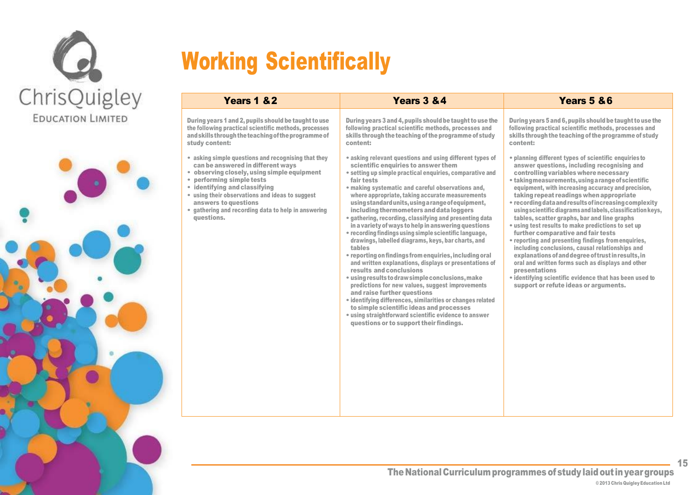



# Working Scientifically

| Years 1 & 2                                                                                                                                                                                                                                                                                                                                           | Years 3 & 4                                                                                                                                                                                                                                                                                                                                                                                                                                                                                                                                                                                                                                                                                                                                                                                                                                                                                                                                                                                                                                                                                                                       | Years 5 & 6                                                                                                                                                                                                                                                                                                                                                                                                                                                                                                                                                                                                                                                                                                                                                                                                                                                                                                      |
|-------------------------------------------------------------------------------------------------------------------------------------------------------------------------------------------------------------------------------------------------------------------------------------------------------------------------------------------------------|-----------------------------------------------------------------------------------------------------------------------------------------------------------------------------------------------------------------------------------------------------------------------------------------------------------------------------------------------------------------------------------------------------------------------------------------------------------------------------------------------------------------------------------------------------------------------------------------------------------------------------------------------------------------------------------------------------------------------------------------------------------------------------------------------------------------------------------------------------------------------------------------------------------------------------------------------------------------------------------------------------------------------------------------------------------------------------------------------------------------------------------|------------------------------------------------------------------------------------------------------------------------------------------------------------------------------------------------------------------------------------------------------------------------------------------------------------------------------------------------------------------------------------------------------------------------------------------------------------------------------------------------------------------------------------------------------------------------------------------------------------------------------------------------------------------------------------------------------------------------------------------------------------------------------------------------------------------------------------------------------------------------------------------------------------------|
| During years 1 and 2, pupils should be taught to use<br>the following practical scientific methods, processes<br>and skills through the teaching of the programme of<br>study content:                                                                                                                                                                | During years 3 and 4, pupils should be taught to use the<br>following practical scientific methods, processes and<br>skills through the teaching of the programme of study<br>content:                                                                                                                                                                                                                                                                                                                                                                                                                                                                                                                                                                                                                                                                                                                                                                                                                                                                                                                                            | During years 5 and 6, pupils should be taught to use the<br>following practical scientific methods, processes and<br>skills through the teaching of the programme of study<br>content:                                                                                                                                                                                                                                                                                                                                                                                                                                                                                                                                                                                                                                                                                                                           |
| • asking simple questions and recognising that they<br>can be answered in different ways<br>• observing closely, using simple equipment<br>• performing simple tests<br>• identifying and classifying<br>• using their observations and ideas to suggest<br>answers to questions<br>• gathering and recording data to help in answering<br>questions. | • asking relevant questions and using different types of<br>scientific enquiries to answer them<br>• setting up simple practical enquiries, comparative and<br>fair tests<br>• making systematic and careful observations and,<br>where appropriate, taking accurate measurements<br>using standard units, using a range of equipment,<br>including thermometers and data loggers<br>• gathering, recording, classifying and presenting data<br>in a variety of ways to help in answering questions<br>• recording findings using simple scientific language,<br>drawings, labelled diagrams, keys, bar charts, and<br>tables<br>• reporting on findings from enquiries, including oral<br>and written explanations, displays or presentations of<br>results and conclusions<br>• using results to draw simple conclusions, make<br>predictions for new values, suggest improvements<br>and raise further questions<br>• identifying differences, similarities or changes related<br>to simple scientific ideas and processes<br>• using straightforward scientific evidence to answer<br>questions or to support their findings. | • planning different types of scientific enquiries to<br>answer questions, including recognising and<br>controlling variables where necessary<br>• taking measurements, using a range of scientific<br>equipment, with increasing accuracy and precision,<br>taking repeat readings when appropriate<br>• recording data and results of increasing complexity<br>using scientific diagrams and labels, classification keys,<br>tables, scatter graphs, bar and line graphs<br>• using test results to make predictions to set up<br>further comparative and fair tests<br>• reporting and presenting findings from enquiries,<br>including conclusions, causal relationships and<br>explanations of and degree of trust in results, in<br>oral and written forms such as displays and other<br>presentations<br>• identifying scientific evidence that has been used to<br>support or refute ideas or arguments. |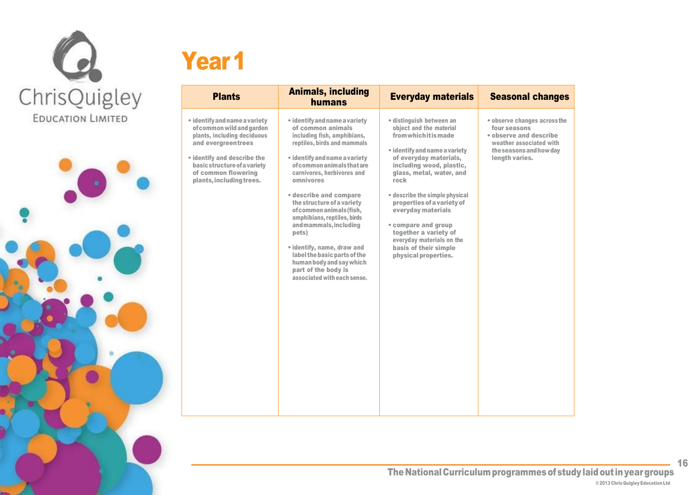

# Year<sup>1</sup>

| <b>Plants</b>                                                                                                                                                                                                                     | <b>Animals, including</b><br>humans                                                                                                                                                                                                                                                                                                                                                                                                                                                                                              | <b>Everyday materials</b>                                                                                                                                                                                                                                                                                                                                                                                                          | <b>Seasonal changes</b>                                                                                                                        |
|-----------------------------------------------------------------------------------------------------------------------------------------------------------------------------------------------------------------------------------|----------------------------------------------------------------------------------------------------------------------------------------------------------------------------------------------------------------------------------------------------------------------------------------------------------------------------------------------------------------------------------------------------------------------------------------------------------------------------------------------------------------------------------|------------------------------------------------------------------------------------------------------------------------------------------------------------------------------------------------------------------------------------------------------------------------------------------------------------------------------------------------------------------------------------------------------------------------------------|------------------------------------------------------------------------------------------------------------------------------------------------|
| • identify and name a variety<br>of common wild and garden<br>plants, including deciduous<br>and evergreentrees<br>• identify and describe the<br>basic structure of a variety<br>of common flowering<br>plants, including trees. | • identify and name a variety<br>of common animals<br>including fish, amphibians,<br>reptiles, birds and mammals<br>• identify and name a variety<br>of common animals that are<br>carnivores, herbivores and<br>omnivores<br>• describe and compare<br>the structure of a variety<br>of common animals (fish,<br>amphibians, reptiles, birds<br>and mammals, including<br>pets)<br>• identify, name, draw and<br>label the basic parts of the<br>human body and say which<br>part of the body is<br>associated with each sense. | • distinguish between an<br>object and the material<br><b>from which it is made</b><br>• identify and name a variety<br>of everyday materials,<br>including wood, plastic,<br>glass, metal, water, and<br>rock<br>• describe the simple physical<br>properties of a variety of<br>everyday materials<br>• compare and group<br>together a variety of<br>everyday materials on the<br>basis of their simple<br>physical properties. | • observe changes across the<br>four seasons<br>• observe and describe<br>weather associated with<br>the seasons and how day<br>length varies. |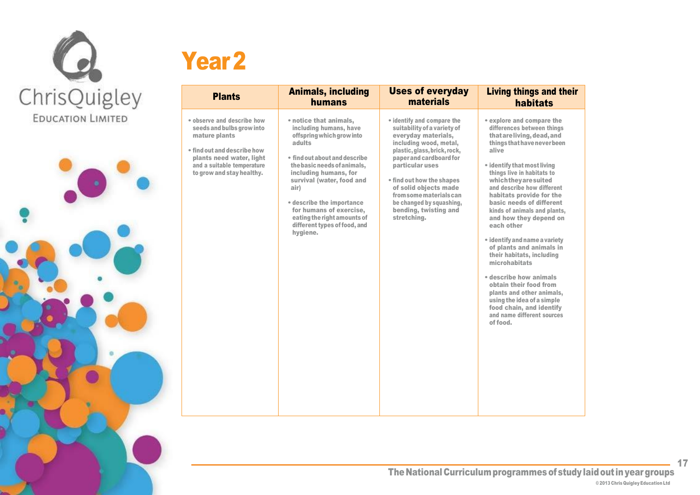

## Year<sub>2</sub>

| <b>Plants</b>                                                                                                                                                                                  | <b>Animals, including</b>                                                                                                                                                                                                                                                                                                                                | <b>Uses of everyday</b>                                                                                                                                                                                                                                                                                                                       | <b>Living things and their</b>                                                                                                                                                                                                                                                                                                                                                                                                                                                                                                                                                                                                                                                    |
|------------------------------------------------------------------------------------------------------------------------------------------------------------------------------------------------|----------------------------------------------------------------------------------------------------------------------------------------------------------------------------------------------------------------------------------------------------------------------------------------------------------------------------------------------------------|-----------------------------------------------------------------------------------------------------------------------------------------------------------------------------------------------------------------------------------------------------------------------------------------------------------------------------------------------|-----------------------------------------------------------------------------------------------------------------------------------------------------------------------------------------------------------------------------------------------------------------------------------------------------------------------------------------------------------------------------------------------------------------------------------------------------------------------------------------------------------------------------------------------------------------------------------------------------------------------------------------------------------------------------------|
|                                                                                                                                                                                                | humans                                                                                                                                                                                                                                                                                                                                                   | materials                                                                                                                                                                                                                                                                                                                                     | habitats                                                                                                                                                                                                                                                                                                                                                                                                                                                                                                                                                                                                                                                                          |
| · observe and describe how<br>seeds and bulbs grow into<br>mature plants<br>. find out and describe how<br>plants need water, light<br>and a suitable temperature<br>to grow and stay healthy. | • notice that animals,<br>including humans, have<br>offspring which grow into<br>adults<br>• find out about and describe<br>the basic needs of animals,<br>including humans, for<br>survival (water, food and<br>air)<br>• describe the importance<br>for humans of exercise,<br>eating the right amounts of<br>different types of food, and<br>hygiene. | • identify and compare the<br>suitability of a variety of<br>everyday materials,<br>including wood, metal,<br>plastic, glass, brick, rock,<br>paper and cardboard for<br>particular uses<br>• find out how the shapes<br>of solid objects made<br>from some materials can<br>be changed by squashing,<br>bending, twisting and<br>stretching. | • explore and compare the<br>differences between things<br>that are living, dead, and<br>things that have never been<br>alive<br>• identify that most living<br>things live in habitats to<br>which they are suited<br>and describe how different<br>habitats provide for the<br>basic needs of different<br>kinds of animals and plants,<br>and how they depend on<br>each other<br>· identify and name a variety<br>of plants and animals in<br>their habitats, including<br>microhabitats<br>• describe how animals<br>obtain their food from<br>plants and other animals,<br>using the idea of a simple<br>food chain, and identify<br>and name different sources<br>of food. |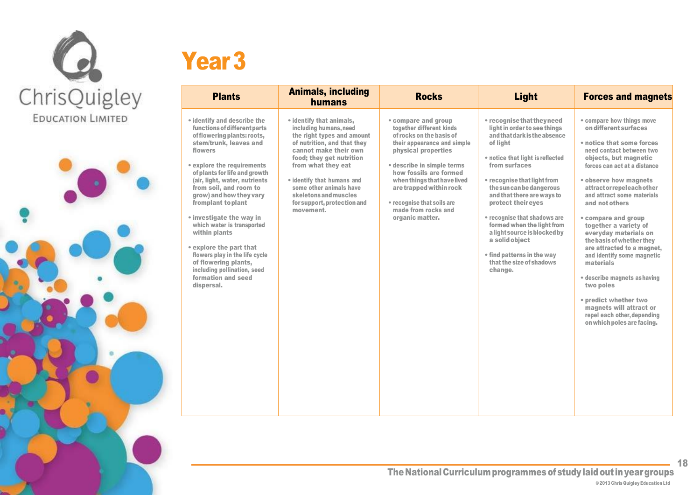



### Year<sub>3</sub>

| <b>Plants</b>                                                                                                                                                                                                                                                                                                                                                                                                                                                                                                                             | <b>Animals, including</b><br>humans                                                                                                                                                                                                                                                                                      | <b>Rocks</b>                                                                                                                                                                                                                                                                                                                | <b>Light</b>                                                                                                                                                                                                                                                                                                                                                                                                                                                    | <b>Forces and magnets</b>                                                                                                                                                                                                                                                                                                                                                                                                                                                                                                                                                                                                 |
|-------------------------------------------------------------------------------------------------------------------------------------------------------------------------------------------------------------------------------------------------------------------------------------------------------------------------------------------------------------------------------------------------------------------------------------------------------------------------------------------------------------------------------------------|--------------------------------------------------------------------------------------------------------------------------------------------------------------------------------------------------------------------------------------------------------------------------------------------------------------------------|-----------------------------------------------------------------------------------------------------------------------------------------------------------------------------------------------------------------------------------------------------------------------------------------------------------------------------|-----------------------------------------------------------------------------------------------------------------------------------------------------------------------------------------------------------------------------------------------------------------------------------------------------------------------------------------------------------------------------------------------------------------------------------------------------------------|---------------------------------------------------------------------------------------------------------------------------------------------------------------------------------------------------------------------------------------------------------------------------------------------------------------------------------------------------------------------------------------------------------------------------------------------------------------------------------------------------------------------------------------------------------------------------------------------------------------------------|
| • identify and describe the<br>functions of different parts<br>of flowering plants: roots,<br>stem/trunk, leaves and<br>flowers<br>explore the requirements<br>of plants for life and growth<br>(air, light, water, nutrients<br>from soil, and room to<br>grow) and how they vary<br>fromplant to plant<br>• investigate the way in<br>which water is transported<br>within plants<br>explore the part that<br>flowers play in the life cycle<br>of flowering plants,<br>including pollination, seed<br>formation and seed<br>dispersal. | • identify that animals,<br>including humans, need<br>the right types and amount<br>of nutrition, and that they<br>cannot make their own<br>food; they get nutrition<br>from what they eat<br>• identify that humans and<br>some other animals have<br>skeletons and muscles<br>for support, protection and<br>movement. | • compare and group<br>together different kinds<br>of rocks on the basis of<br>their appearance and simple<br>physical properties<br>• describe in simple terms<br>how fossils are formed<br>when things that have lived<br>are trapped within rock<br>• recognise that soils are<br>made from rocks and<br>organic matter. | • recognise that they need<br>light in order to see things<br>and that dark is the absence<br>of light<br>• notice that light is reflected<br>from surfaces<br>• recognise that light from<br>the sun can be dangerous<br>and that there are ways to<br>protect their eyes<br>• recognise that shadows are<br>formed when the light from<br>a light source is blocked by<br>a solid object<br>• find patterns in the way<br>that the size of shadows<br>change. | • compare how things move<br>on different surfaces<br>• notice that some forces<br>need contact between two<br>objects, but magnetic<br>forces can act at a distance<br>• observe how magnets<br>attract or repel each other<br>and attract some materials<br>and not others<br>• compare and group<br>together a variety of<br>everyday materials on<br>the basis of whether they<br>are attracted to a magnet,<br>and identify some magnetic<br>materials<br>• describe magnets as having<br>two poles<br>• predict whether two<br>magnets will attract or<br>repel each other, depending<br>on which poles are facing. |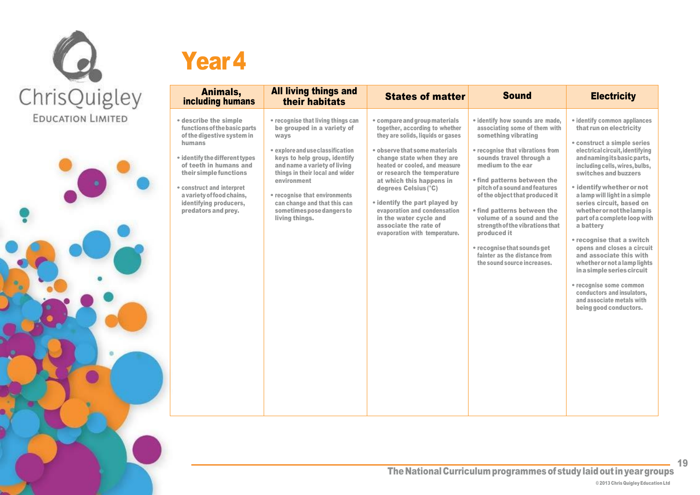



| Animals,<br>including humans                                                                                                                                                                                                                                                                   | <b>All living things and</b><br>their habitats                                                                                                                                                                                                                                                                                                 | <b>States of matter</b>                                                                                                                                                                                                                                                                                                                                                                                                                      | <b>Sound</b>                                                                                                                                                                                                                                                                                                                                                                                                                                                                              | <b>Electricity</b>                                                                                                                                                                                                                                                                                                                                                                                                                                                                                                                                                                                                                                          |
|------------------------------------------------------------------------------------------------------------------------------------------------------------------------------------------------------------------------------------------------------------------------------------------------|------------------------------------------------------------------------------------------------------------------------------------------------------------------------------------------------------------------------------------------------------------------------------------------------------------------------------------------------|----------------------------------------------------------------------------------------------------------------------------------------------------------------------------------------------------------------------------------------------------------------------------------------------------------------------------------------------------------------------------------------------------------------------------------------------|-------------------------------------------------------------------------------------------------------------------------------------------------------------------------------------------------------------------------------------------------------------------------------------------------------------------------------------------------------------------------------------------------------------------------------------------------------------------------------------------|-------------------------------------------------------------------------------------------------------------------------------------------------------------------------------------------------------------------------------------------------------------------------------------------------------------------------------------------------------------------------------------------------------------------------------------------------------------------------------------------------------------------------------------------------------------------------------------------------------------------------------------------------------------|
| • describe the simple<br>functions of the basic parts<br>of the digestive system in<br>humans<br>• identify the different types<br>of teeth in humans and<br>their simple functions<br>• construct and interpret<br>a variety of food chains,<br>identifying producers,<br>predators and prey. | • recognise that living things can<br>be grouped in a variety of<br>ways<br>• explore and use classification<br>keys to help group, identify<br>and name a variety of living<br>things in their local and wider<br>environment<br>• recognise that environments<br>can change and that this can<br>sometimes pose dangers to<br>living things. | • compare and group materials<br>together, according to whether<br>they are solids, liquids or gases<br>• observe that some materials<br>change state when they are<br>heated or cooled, and measure<br>or research the temperature<br>at which this happens in<br>degrees Celsius (°C)<br>• identify the part played by<br>evaporation and condensation<br>in the water cycle and<br>associate the rate of<br>evaporation with temperature. | • identify how sounds are made,<br>associating some of them with<br>something vibrating<br>• recognise that vibrations from<br>sounds travel through a<br>medium to the ear<br>• find patterns between the<br>pitch of a sound and features<br>of the object that produced it<br>• find patterns between the<br>volume of a sound and the<br>strength of the vibrations that<br>produced it<br>• recognise that sounds get<br>fainter as the distance from<br>the sound source increases. | • identify common appliances<br>that run on electricity<br>• construct a simple series<br>electrical circuit, identifying<br>and naming its basic parts,<br>including cells, wires, bulbs,<br>switches and buzzers<br>• identify whether or not<br>a lamp will light in a simple<br>series circuit, based on<br>whether or not the lamp is<br>part of a complete loop with<br>a battery<br>• recognise that a switch<br>opens and closes a circuit<br>and associate this with<br>whether or not a lamp lights<br>in a simple series circuit<br>• recognise some common<br>conductors and insulators,<br>and associate metals with<br>being good conductors. |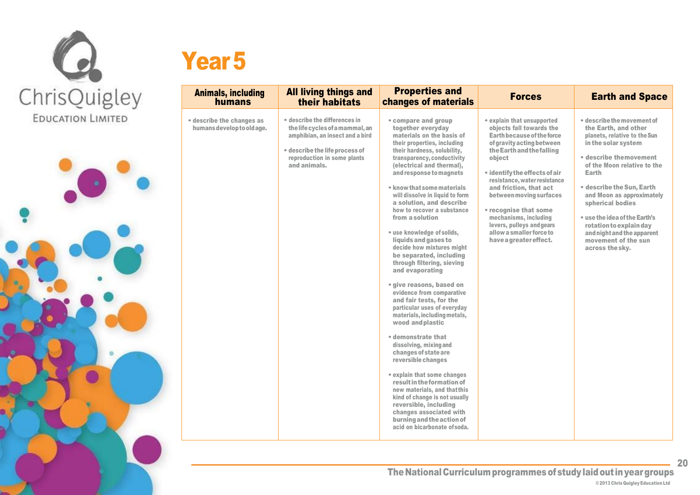



### Year<sub>5</sub>

| <b>Animals, including</b><br>humans                     | <b>All living things and</b><br>their habitats                                                                                                                                       | <b>Properties and</b><br>changes of materials                                                                                                                                                                                                                                                                                                                                                                                                                                                                                                                                                                                                                                                                                                                                                                                                                                                                                                                                                                                                              | <b>Forces</b>                                                                                                                                                                                                                                                                                                                                                                                                       | <b>Earth and Space</b>                                                                                                                                                                                                                                                                                                                                                                        |
|---------------------------------------------------------|--------------------------------------------------------------------------------------------------------------------------------------------------------------------------------------|------------------------------------------------------------------------------------------------------------------------------------------------------------------------------------------------------------------------------------------------------------------------------------------------------------------------------------------------------------------------------------------------------------------------------------------------------------------------------------------------------------------------------------------------------------------------------------------------------------------------------------------------------------------------------------------------------------------------------------------------------------------------------------------------------------------------------------------------------------------------------------------------------------------------------------------------------------------------------------------------------------------------------------------------------------|---------------------------------------------------------------------------------------------------------------------------------------------------------------------------------------------------------------------------------------------------------------------------------------------------------------------------------------------------------------------------------------------------------------------|-----------------------------------------------------------------------------------------------------------------------------------------------------------------------------------------------------------------------------------------------------------------------------------------------------------------------------------------------------------------------------------------------|
| • describe the changes as<br>humans develop to old age. | • describe the differences in<br>the life cycles of a mammal, an<br>amphibian, an insect and a bird<br>• describe the life process of<br>reproduction in some plants<br>and animals. | • compare and group<br>together everyday<br>materials on the basis of<br>their properties, including<br>their hardness, solubility,<br>transparency, conductivity<br>(electrical and thermal),<br>and response to magnets<br>• know that some materials<br>will dissolve in liquid to form<br>a solution, and describe<br>how to recover a substance<br>from a solution<br>• use knowledge of solids,<br>liquids and gases to<br>decide how mixtures might<br>be separated, including<br>through filtering, sieving<br>and evaporating<br>• give reasons, based on<br>evidence from comparative<br>and fair tests, for the<br>particular uses of everyday<br>materials, including metals,<br>wood and plastic<br>• demonstrate that<br>dissolving, mixing and<br>changes of state are<br>reversible changes<br>• explain that some changes<br>result in the formation of<br>new materials, and that this<br>kind of change is not usually<br>reversible, including<br>changes associated with<br>burning and the action of<br>acid on bicarbonate of soda. | • explain that unsupported<br>objects fall towards the<br>Earth because of the force<br>of gravity acting between<br>the Earth and the falling<br>object<br>• identify the effects of air<br>resistance, water resistance<br>and friction, that act<br>between moving surfaces<br>• recognise that some<br>mechanisms, including<br>levers, pulleys and gears<br>allow a smaller force to<br>have a greater effect. | • describe the movement of<br>the Earth, and other<br>planets, relative to the Sun<br>in the solar system<br>• describe themovement<br>of the Moon relative to the<br>Earth<br>• describe the Sun, Earth<br>and Moon as approximately<br>spherical bodies<br>• use the idea of the Earth's<br>rotation to explain day<br>and night and the apparent<br>movement of the sun<br>across the sky. |